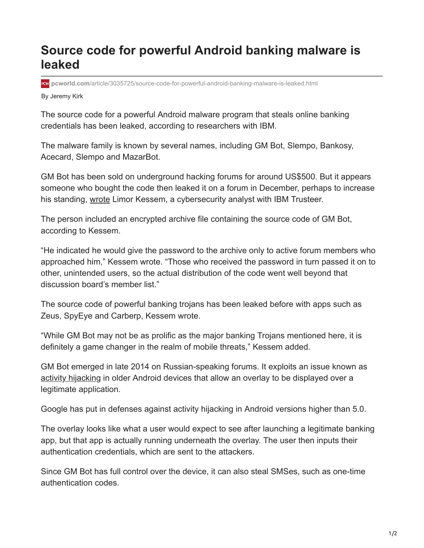## **Source code for powerful Android banking malware is leaked**

**pcworld.com**[/article/3035725/source-code-for-powerful-android-banking-malware-is-leaked.html](https://www.pcworld.com/article/3035725/source-code-for-powerful-android-banking-malware-is-leaked.html)

By Jeremy Kirk

The source code for a powerful Android malware program that steals online banking credentials has been leaked, according to researchers with IBM.

The malware family is known by several names, including GM Bot, Slempo, Bankosy, Acecard, Slempo and MazarBot.

GM Bot has been sold on underground hacking forums for around US\$500. But it appears someone who bought the code then leaked it on a forum in December, perhaps to increase his standing, [wrote](https://go.redirectingat.com/?id=111346X1569483&url=https://securityintelligence.com/android-malware-about-to-get-worse-gm-bot-source-code-leaked&xcust=2-1-419717-1-0-0&sref=https://www.pcworld.com/article/419717/source-code-for-powerful-android-banking-malware-is-leaked.html) Limor Kessem, a cybersecurity analyst with IBM Trusteer.

The person included an encrypted archive file containing the source code of GM Bot, according to Kessem.

"He indicated he would give the password to the archive only to active forum members who approached him," Kessem wrote. "Those who received the password in turn passed it on to other, unintended users, so the actual distribution of the code went well beyond that discussion board's member list."

The source code of powerful banking trojans has been leaked before with apps such as Zeus, SpyEye and Carberp, Kessem wrote.

"While GM Bot may not be as prolific as the major banking Trojans mentioned here, it is definitely a game changer in the realm of mobile threats," Kessem added.

GM Bot emerged in late 2014 on Russian-speaking forums. It exploits an issue known as [activity hijacking](https://go.redirectingat.com/?id=111346X1569483&url=http://oasam.org/en/oasam/oasam-uir-unauthorized-intent-receipt/oasam-uir-002-activity-hijacking&xcust=2-1-419717-1-0-0&sref=https://www.pcworld.com/article/419717/source-code-for-powerful-android-banking-malware-is-leaked.html) in older Android devices that allow an overlay to be displayed over a legitimate application.

Google has put in defenses against activity hijacking in Android versions higher than 5.0.

The overlay looks like what a user would expect to see after launching a legitimate banking app, but that app is actually running underneath the overlay. The user then inputs their authentication credentials, which are sent to the attackers.

Since GM Bot has full control over the device, it can also steal SMSes, such as one-time authentication codes.